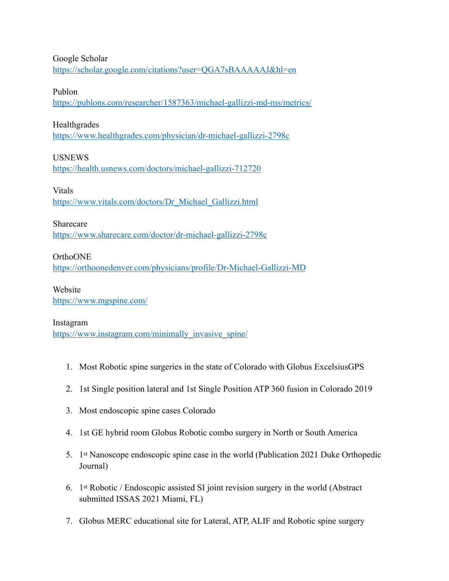Google Scholar <https://scholar.google.com/citations?user=QGA7sBAAAAAJ&hl=en>

### Publon

<https://publons.com/researcher/1587363/michael-gallizzi-md-ms/metrics/>

## Healthgrades

<https://www.healthgrades.com/physician/dr-michael-gallizzi-2798c>

# USNEWS

<https://health.usnews.com/doctors/michael-gallizzi-712720>

## Vitals

[https://www.vitals.com/doctors/Dr\\_Michael\\_Gallizzi.html](https://www.vitals.com/doctors/Dr_Michael_Gallizzi.html)

## Sharecare

<https://www.sharecare.com/doctor/dr-michael-gallizzi-2798c>

# OrthoONE

<https://orthoonedenver.com/physicians/profile/Dr-Michael-Gallizzi-MD>

Website <https://www.mgspine.com/>

## Instagram

[https://www.instagram.com/minimally\\_invasive\\_spine/](https://www.instagram.com/minimally_invasive_spine/)

- 1. Most Robotic spine surgeries in the state of Colorado with Globus ExcelsiusGPS
- 2. 1st Single position lateral and 1st Single Position ATP 360 fusion in Colorado 2019
- 3. Most endoscopic spine cases Colorado
- 4. 1st GE hybrid room Globus Robotic combo surgery in North or South America
- 5. 1st Nanoscope endoscopic spine case in the world (Publication 2021 Duke Orthopedic Journal)
- 6. 1st Robotic / Endoscopic assisted SI joint revision surgery in the world (Abstract submitted ISSAS 2021 Miami, FL)
- 7. Globus MERC educational site for Lateral, ATP, ALIF and Robotic spine surgery